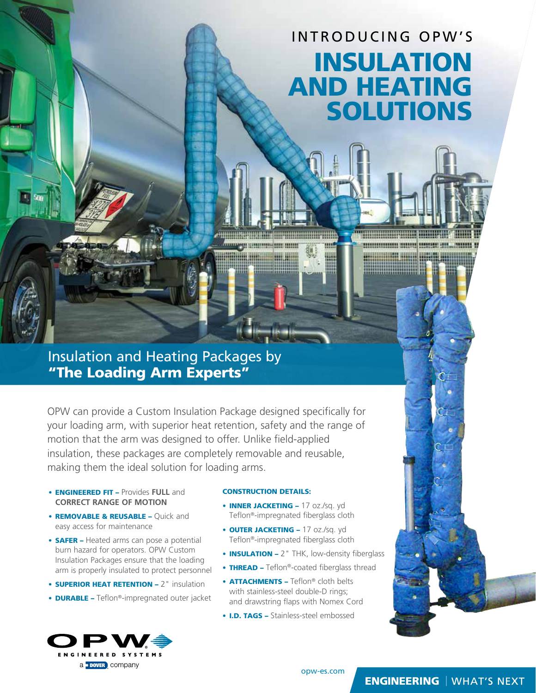# INTRODUCING OPW'S INSULATION AND HEATING SOLUTIONS

#### Insulation and Heating Packages by "The Loading Arm Experts"

OPW can provide a Custom Insulation Package designed specifically for your loading arm, with superior heat retention, safety and the range of motion that the arm was designed to offer. Unlike field-applied insulation, these packages are completely removable and reusable, making them the ideal solution for loading arms.

- ENGINEERED FIT Provides **FULL** and **CORRECT RANGE OF MOTION**
- REMOVABLE & REUSABLE Quick and easy access for maintenance
- **SAFER** Heated arms can pose a potential burn hazard for operators. OPW Custom Insulation Packages ensure that the loading arm is properly insulated to protect personnel
- **SUPERIOR HEAT RETENTION 2** " insulation
- **DURABLE -** Teflon®-impregnated outer jacket



#### CONSTRUCTION DETAILS:

<u>mmyen enemisjoni min</u>

- **INNER JACKETING 17 oz./sq. yd** Teflon®-impregnated fiberglass cloth
- **OUTER JACKETING 17 oz./sq. yd** Teflon®-impregnated fiberglass cloth
- **INSULATION** 2" THK, low-density fiberglass
- THREAD Teflon®-coated fiberglass thread

opw-es.com

- **ATTACHMENTS Teflon® cloth belts** with stainless-steel double-D rings; and drawstring flaps with Nomex Cord
- **I.D. TAGS** Stainless-steel embossed



### **ENGINEERING** | WHAT'S NEXT